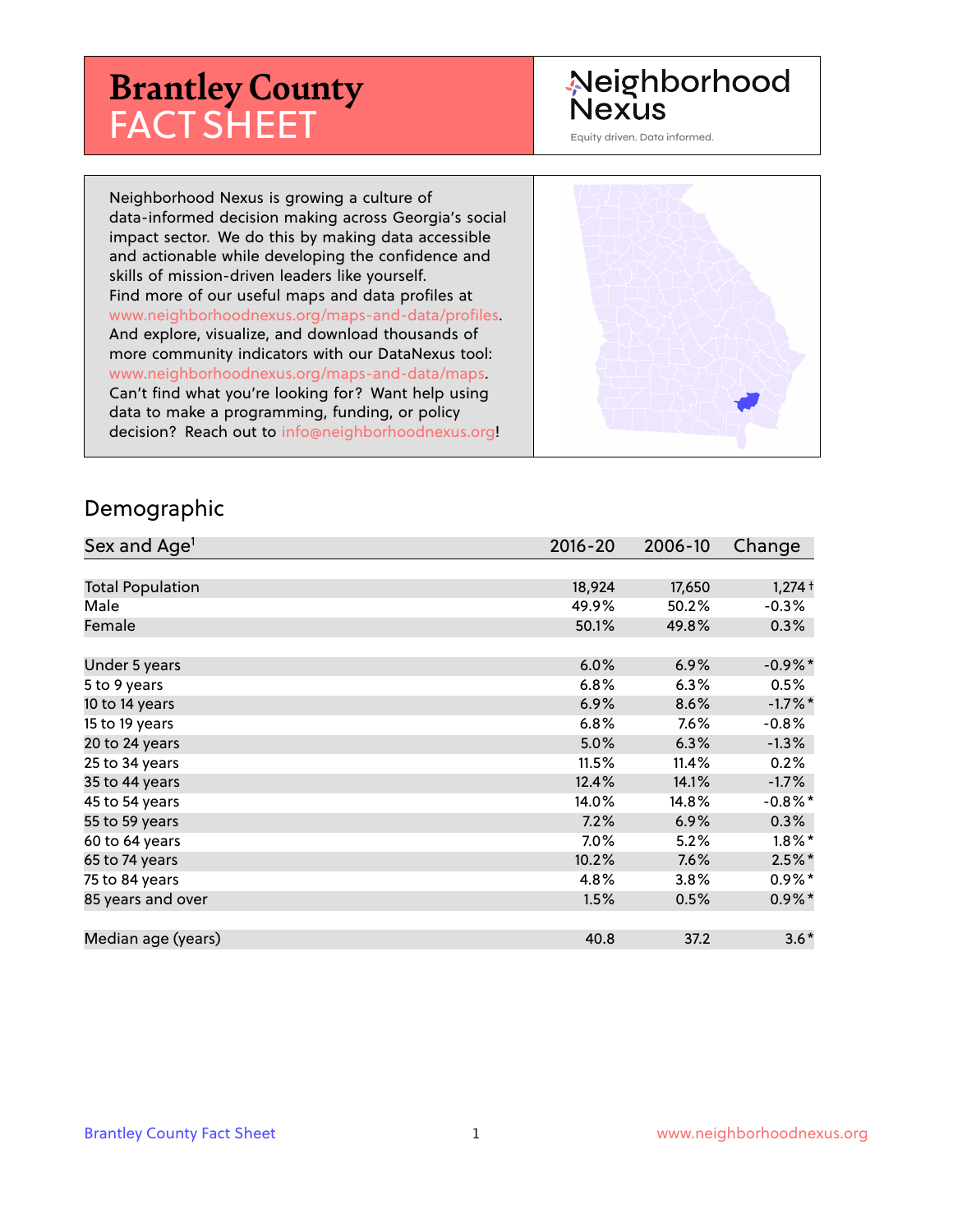# **Brantley County** FACT SHEET

#### Neighborhood **Nexus**

Equity driven. Data informed.

Neighborhood Nexus is growing a culture of data-informed decision making across Georgia's social impact sector. We do this by making data accessible and actionable while developing the confidence and skills of mission-driven leaders like yourself. Find more of our useful maps and data profiles at www.neighborhoodnexus.org/maps-and-data/profiles. And explore, visualize, and download thousands of more community indicators with our DataNexus tool: www.neighborhoodnexus.org/maps-and-data/maps. Can't find what you're looking for? Want help using data to make a programming, funding, or policy decision? Reach out to [info@neighborhoodnexus.org!](mailto:info@neighborhoodnexus.org)



#### Demographic

| Sex and Age <sup>1</sup> | $2016 - 20$ | 2006-10 | Change     |
|--------------------------|-------------|---------|------------|
|                          |             |         |            |
| <b>Total Population</b>  | 18,924      | 17,650  | $1,274$ †  |
| Male                     | 49.9%       | 50.2%   | $-0.3%$    |
| Female                   | 50.1%       | 49.8%   | $0.3\%$    |
|                          |             |         |            |
| Under 5 years            | 6.0%        | 6.9%    | $-0.9\%$ * |
| 5 to 9 years             | 6.8%        | 6.3%    | 0.5%       |
| 10 to 14 years           | 6.9%        | 8.6%    | $-1.7%$ *  |
| 15 to 19 years           | 6.8%        | 7.6%    | $-0.8%$    |
| 20 to 24 years           | 5.0%        | 6.3%    | $-1.3%$    |
| 25 to 34 years           | 11.5%       | 11.4%   | 0.2%       |
| 35 to 44 years           | 12.4%       | 14.1%   | $-1.7\%$   |
| 45 to 54 years           | 14.0%       | 14.8%   | $-0.8\%$ * |
| 55 to 59 years           | 7.2%        | 6.9%    | 0.3%       |
| 60 to 64 years           | 7.0%        | 5.2%    | $1.8\%$ *  |
| 65 to 74 years           | 10.2%       | 7.6%    | $2.5%$ *   |
| 75 to 84 years           | 4.8%        | 3.8%    | $0.9\%$ *  |
| 85 years and over        | 1.5%        | 0.5%    | $0.9\% *$  |
|                          |             |         |            |
| Median age (years)       | 40.8        | 37.2    | $3.6*$     |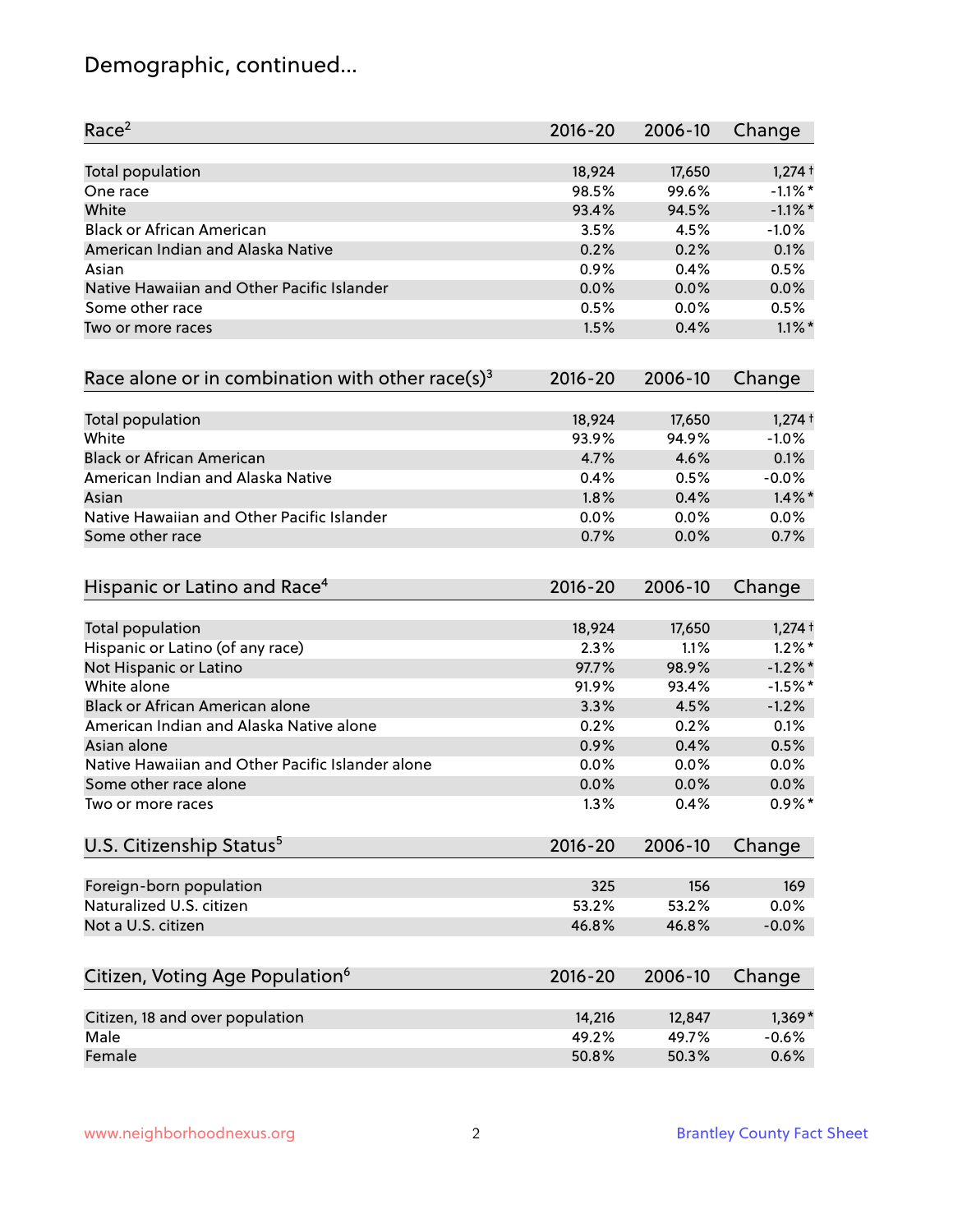# Demographic, continued...

| Race <sup>2</sup>                                            | $2016 - 20$ | 2006-10 | Change     |
|--------------------------------------------------------------|-------------|---------|------------|
| <b>Total population</b>                                      | 18,924      | 17,650  | $1,274$ †  |
| One race                                                     | 98.5%       | 99.6%   | $-1.1\%$ * |
| White                                                        | 93.4%       | 94.5%   | $-1.1\%$ * |
| <b>Black or African American</b>                             | 3.5%        | 4.5%    | $-1.0%$    |
| American Indian and Alaska Native                            | 0.2%        | 0.2%    | 0.1%       |
| Asian                                                        | 0.9%        | 0.4%    | 0.5%       |
| Native Hawaiian and Other Pacific Islander                   | 0.0%        | 0.0%    | 0.0%       |
| Some other race                                              | 0.5%        | 0.0%    | 0.5%       |
| Two or more races                                            | 1.5%        | 0.4%    | $1.1\%$ *  |
| Race alone or in combination with other race(s) <sup>3</sup> | $2016 - 20$ | 2006-10 | Change     |
| Total population                                             | 18,924      | 17,650  | $1,274$ †  |
| White                                                        | 93.9%       | 94.9%   | $-1.0%$    |
| <b>Black or African American</b>                             | 4.7%        | 4.6%    | 0.1%       |
| American Indian and Alaska Native                            | 0.4%        | 0.5%    | $-0.0%$    |
| Asian                                                        | 1.8%        | 0.4%    | $1.4\%$ *  |
| Native Hawaiian and Other Pacific Islander                   | 0.0%        | 0.0%    | 0.0%       |
| Some other race                                              | 0.7%        | 0.0%    | 0.7%       |
| Hispanic or Latino and Race <sup>4</sup>                     | $2016 - 20$ | 2006-10 | Change     |
| <b>Total population</b>                                      | 18,924      | 17,650  | $1,274$ †  |
| Hispanic or Latino (of any race)                             | 2.3%        | 1.1%    | $1.2\%$ *  |
| Not Hispanic or Latino                                       | 97.7%       | 98.9%   | $-1.2\%$ * |
| White alone                                                  | 91.9%       | 93.4%   | $-1.5%$ *  |
| Black or African American alone                              | 3.3%        | 4.5%    | $-1.2%$    |
| American Indian and Alaska Native alone                      | 0.2%        | 0.2%    | 0.1%       |
| Asian alone                                                  | 0.9%        | 0.4%    | 0.5%       |
| Native Hawaiian and Other Pacific Islander alone             | 0.0%        | 0.0%    | 0.0%       |
| Some other race alone                                        | 0.0%        | 0.0%    | 0.0%       |
| Two or more races                                            | 1.3%        | 0.4%    | $0.9\%$ *  |
| U.S. Citizenship Status <sup>5</sup>                         | $2016 - 20$ | 2006-10 | Change     |
| Foreign-born population                                      | 325         | 156     | 169        |
| Naturalized U.S. citizen                                     | 53.2%       | 53.2%   | 0.0%       |
| Not a U.S. citizen                                           | 46.8%       | 46.8%   | $-0.0%$    |
| Citizen, Voting Age Population <sup>6</sup>                  | $2016 - 20$ | 2006-10 | Change     |
|                                                              |             |         |            |
| Citizen, 18 and over population                              | 14,216      | 12,847  | $1,369*$   |
| Male                                                         | 49.2%       | 49.7%   | $-0.6%$    |
| Female                                                       | 50.8%       | 50.3%   | 0.6%       |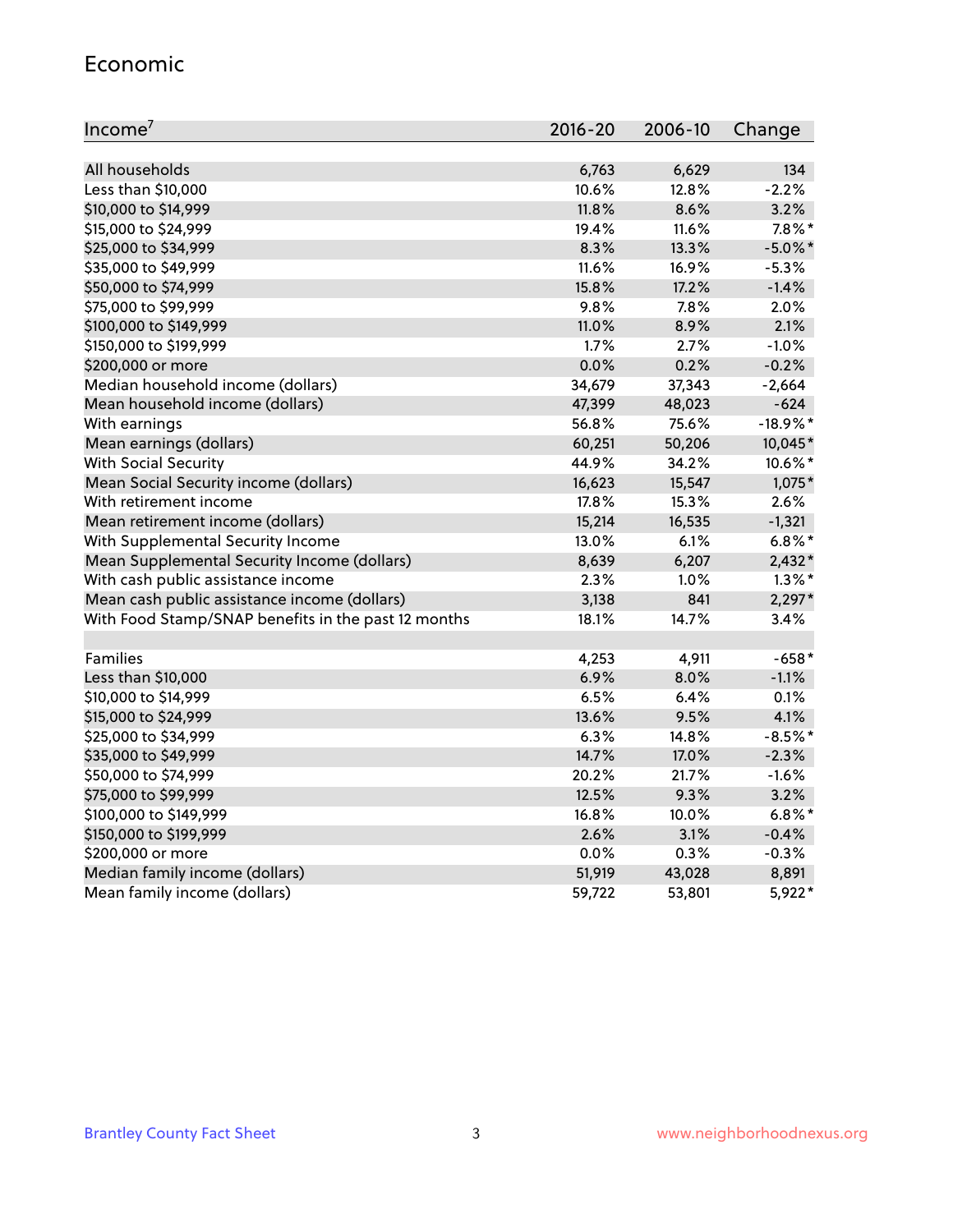#### Economic

| Income <sup>7</sup>                                 | $2016 - 20$ | 2006-10 | Change     |
|-----------------------------------------------------|-------------|---------|------------|
|                                                     |             |         |            |
| All households                                      | 6,763       | 6,629   | 134        |
| Less than \$10,000                                  | 10.6%       | 12.8%   | $-2.2%$    |
| \$10,000 to \$14,999                                | 11.8%       | 8.6%    | 3.2%       |
| \$15,000 to \$24,999                                | 19.4%       | 11.6%   | $7.8\%$ *  |
| \$25,000 to \$34,999                                | 8.3%        | 13.3%   | $-5.0\%$ * |
| \$35,000 to \$49,999                                | 11.6%       | 16.9%   | $-5.3%$    |
| \$50,000 to \$74,999                                | 15.8%       | 17.2%   | $-1.4%$    |
| \$75,000 to \$99,999                                | 9.8%        | 7.8%    | 2.0%       |
| \$100,000 to \$149,999                              | 11.0%       | 8.9%    | 2.1%       |
| \$150,000 to \$199,999                              | 1.7%        | 2.7%    | $-1.0%$    |
| \$200,000 or more                                   | 0.0%        | 0.2%    | $-0.2%$    |
| Median household income (dollars)                   | 34,679      | 37,343  | $-2,664$   |
| Mean household income (dollars)                     | 47,399      | 48,023  | $-624$     |
| With earnings                                       | 56.8%       | 75.6%   | $-18.9%$ * |
| Mean earnings (dollars)                             | 60,251      | 50,206  | 10,045*    |
| <b>With Social Security</b>                         | 44.9%       | 34.2%   | 10.6%*     |
| Mean Social Security income (dollars)               | 16,623      | 15,547  | 1,075*     |
| With retirement income                              | 17.8%       | 15.3%   | 2.6%       |
| Mean retirement income (dollars)                    | 15,214      | 16,535  | $-1,321$   |
| With Supplemental Security Income                   | 13.0%       | $6.1\%$ | $6.8\%$ *  |
| Mean Supplemental Security Income (dollars)         | 8,639       | 6,207   | $2,432*$   |
| With cash public assistance income                  | 2.3%        | 1.0%    | $1.3\%$ *  |
| Mean cash public assistance income (dollars)        | 3,138       | 841     | $2,297*$   |
| With Food Stamp/SNAP benefits in the past 12 months | 18.1%       | 14.7%   | 3.4%       |
|                                                     |             |         |            |
| Families                                            | 4,253       | 4,911   | $-658*$    |
| Less than \$10,000                                  | 6.9%        | 8.0%    | $-1.1%$    |
| \$10,000 to \$14,999                                | 6.5%        | 6.4%    | 0.1%       |
| \$15,000 to \$24,999                                | 13.6%       | 9.5%    | 4.1%       |
| \$25,000 to \$34,999                                | 6.3%        | 14.8%   | $-8.5%$ *  |
| \$35,000 to \$49,999                                | 14.7%       | 17.0%   | $-2.3%$    |
| \$50,000 to \$74,999                                | 20.2%       | 21.7%   | $-1.6%$    |
| \$75,000 to \$99,999                                | 12.5%       | 9.3%    | 3.2%       |
| \$100,000 to \$149,999                              | 16.8%       | 10.0%   | $6.8\%$ *  |
| \$150,000 to \$199,999                              | 2.6%        | 3.1%    | $-0.4%$    |
| \$200,000 or more                                   | 0.0%        | 0.3%    | $-0.3%$    |
| Median family income (dollars)                      | 51,919      | 43,028  | 8,891      |
| Mean family income (dollars)                        | 59,722      | 53,801  | 5,922*     |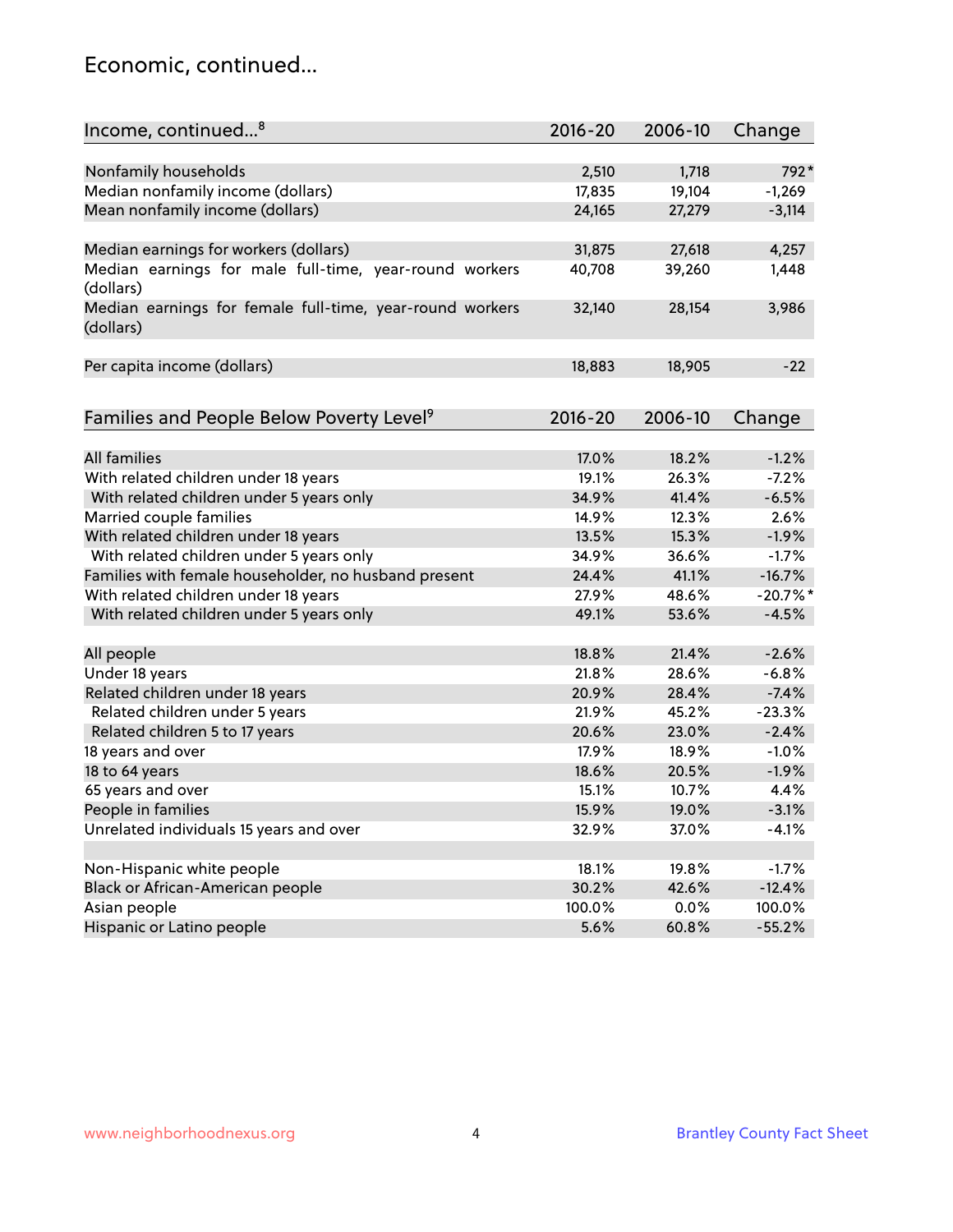#### Economic, continued...

| Income, continued <sup>8</sup>                                        | $2016 - 20$ | 2006-10 | Change     |
|-----------------------------------------------------------------------|-------------|---------|------------|
|                                                                       |             |         |            |
| Nonfamily households                                                  | 2,510       | 1,718   | 792*       |
| Median nonfamily income (dollars)                                     | 17,835      | 19,104  | $-1,269$   |
| Mean nonfamily income (dollars)                                       | 24,165      | 27,279  | $-3,114$   |
| Median earnings for workers (dollars)                                 | 31,875      | 27,618  | 4,257      |
| Median earnings for male full-time, year-round workers                | 40,708      | 39,260  | 1,448      |
| (dollars)                                                             |             |         |            |
| Median earnings for female full-time, year-round workers<br>(dollars) | 32,140      | 28,154  | 3,986      |
| Per capita income (dollars)                                           | 18,883      | 18,905  | $-22$      |
|                                                                       |             |         |            |
| Families and People Below Poverty Level <sup>9</sup>                  | 2016-20     | 2006-10 | Change     |
|                                                                       |             |         |            |
| <b>All families</b>                                                   | 17.0%       | 18.2%   | $-1.2%$    |
| With related children under 18 years                                  | 19.1%       | 26.3%   | $-7.2%$    |
| With related children under 5 years only                              | 34.9%       | 41.4%   | $-6.5%$    |
| Married couple families                                               | 14.9%       | 12.3%   | 2.6%       |
| With related children under 18 years                                  | 13.5%       | 15.3%   | $-1.9%$    |
| With related children under 5 years only                              | 34.9%       | 36.6%   | $-1.7%$    |
| Families with female householder, no husband present                  | 24.4%       | 41.1%   | $-16.7%$   |
| With related children under 18 years                                  | 27.9%       | 48.6%   | $-20.7%$ * |
| With related children under 5 years only                              | 49.1%       | 53.6%   | $-4.5%$    |
| All people                                                            | 18.8%       | 21.4%   | $-2.6%$    |
| Under 18 years                                                        | 21.8%       | 28.6%   | $-6.8%$    |
| Related children under 18 years                                       | 20.9%       | 28.4%   | $-7.4%$    |
| Related children under 5 years                                        | 21.9%       | 45.2%   | $-23.3%$   |
| Related children 5 to 17 years                                        | 20.6%       | 23.0%   | $-2.4%$    |
| 18 years and over                                                     | 17.9%       | 18.9%   | $-1.0%$    |
| 18 to 64 years                                                        | 18.6%       | 20.5%   | $-1.9%$    |
| 65 years and over                                                     | 15.1%       | 10.7%   | 4.4%       |
| People in families                                                    | 15.9%       | 19.0%   |            |
|                                                                       |             |         | $-3.1%$    |
| Unrelated individuals 15 years and over                               | 32.9%       | 37.0%   | $-4.1%$    |
| Non-Hispanic white people                                             | 18.1%       | 19.8%   | $-1.7%$    |
| Black or African-American people                                      | 30.2%       | 42.6%   | $-12.4%$   |
| Asian people                                                          | 100.0%      | 0.0%    | 100.0%     |
| Hispanic or Latino people                                             | 5.6%        | 60.8%   | $-55.2%$   |
|                                                                       |             |         |            |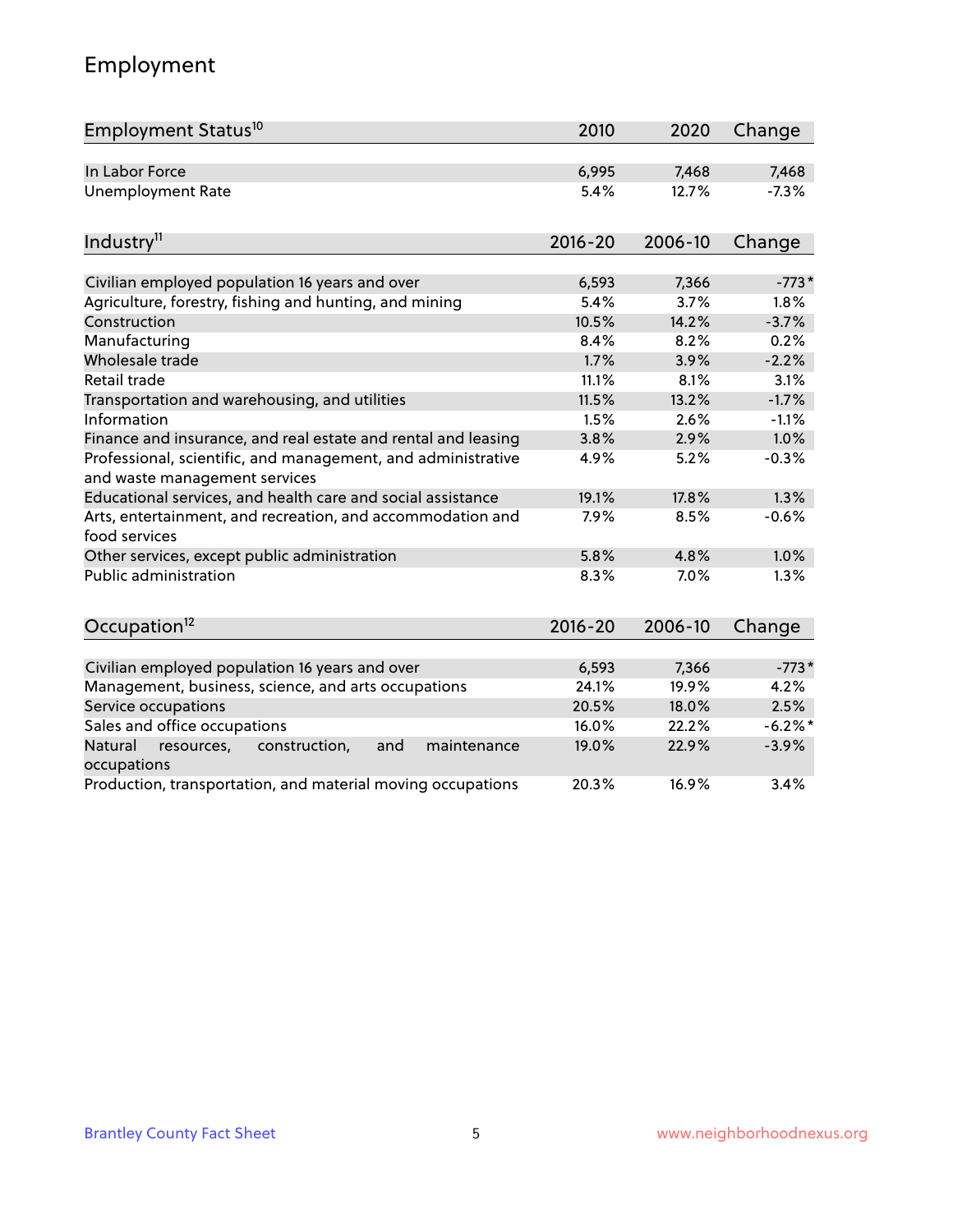# Employment

| Employment Status <sup>10</sup>                                                               | 2010        | 2020    | Change  |
|-----------------------------------------------------------------------------------------------|-------------|---------|---------|
| In Labor Force                                                                                | 6,995       | 7,468   | 7,468   |
| <b>Unemployment Rate</b>                                                                      | 5.4%        | 12.7%   | $-7.3%$ |
| Industry <sup>11</sup>                                                                        | $2016 - 20$ | 2006-10 | Change  |
|                                                                                               |             |         |         |
| Civilian employed population 16 years and over                                                | 6,593       | 7,366   | $-773*$ |
| Agriculture, forestry, fishing and hunting, and mining                                        | 5.4%        | 3.7%    | 1.8%    |
| Construction                                                                                  | 10.5%       | 14.2%   | $-3.7%$ |
| Manufacturing                                                                                 | 8.4%        | 8.2%    | 0.2%    |
| Wholesale trade                                                                               | 1.7%        | 3.9%    | $-2.2%$ |
| Retail trade                                                                                  | 11.1%       | 8.1%    | 3.1%    |
| Transportation and warehousing, and utilities                                                 | 11.5%       | 13.2%   | $-1.7%$ |
| Information                                                                                   | 1.5%        | 2.6%    | $-1.1%$ |
| Finance and insurance, and real estate and rental and leasing                                 | 3.8%        | 2.9%    | 1.0%    |
| Professional, scientific, and management, and administrative<br>and waste management services | 4.9%        | 5.2%    | $-0.3%$ |
| Educational services, and health care and social assistance                                   | 19.1%       | 17.8%   | 1.3%    |
| Arts, entertainment, and recreation, and accommodation and<br>food services                   | 7.9%        | 8.5%    | $-0.6%$ |
| Other services, except public administration                                                  | 5.8%        | 4.8%    | 1.0%    |
| <b>Public administration</b>                                                                  | 8.3%        | 7.0%    | 1.3%    |
| Occupation <sup>12</sup>                                                                      | $2016 - 20$ | 2006-10 | Change  |
|                                                                                               |             |         |         |
| Civilian employed population 16 years and over                                                | 6,593       | 7,366   | $-773*$ |
| Management, business, science, and arts occupations                                           | 24.1%       | 19.9%   | 4.2%    |
| Service occupations                                                                           | 20.5%       | 18.0%   | 2.5%    |
| Sales and office occupations                                                                  | 16.0%       | 22.2%   | $-6.2%$ |
| Natural<br>maintenance<br>resources,<br>construction,<br>and<br>occupations                   | 19.0%       | 22.9%   | $-3.9%$ |
| Production, transportation, and material moving occupations                                   | 20.3%       | 16.9%   | 3.4%    |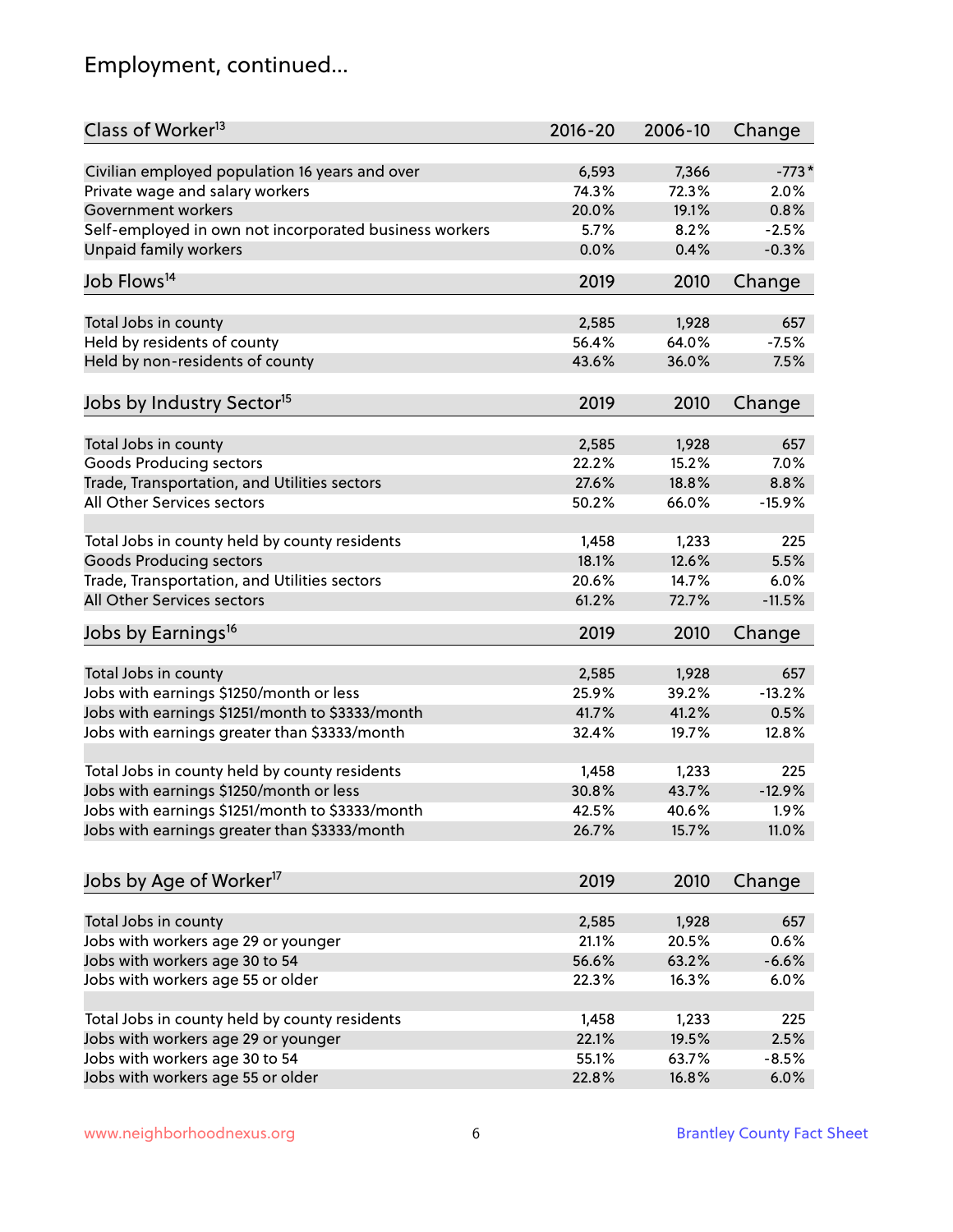# Employment, continued...

| Class of Worker <sup>13</sup>                          | $2016 - 20$ | 2006-10 | Change   |
|--------------------------------------------------------|-------------|---------|----------|
| Civilian employed population 16 years and over         | 6,593       | 7,366   | $-773*$  |
| Private wage and salary workers                        | 74.3%       | 72.3%   | 2.0%     |
| Government workers                                     | 20.0%       | 19.1%   | 0.8%     |
| Self-employed in own not incorporated business workers | 5.7%        | 8.2%    | $-2.5%$  |
| Unpaid family workers                                  | 0.0%        | 0.4%    | $-0.3%$  |
| Job Flows <sup>14</sup>                                | 2019        | 2010    | Change   |
| Total Jobs in county                                   | 2,585       | 1,928   | 657      |
| Held by residents of county                            | 56.4%       | 64.0%   | $-7.5%$  |
|                                                        | 43.6%       |         | 7.5%     |
| Held by non-residents of county                        |             | 36.0%   |          |
| Jobs by Industry Sector <sup>15</sup>                  | 2019        | 2010    | Change   |
| Total Jobs in county                                   | 2,585       | 1,928   | 657      |
| Goods Producing sectors                                | 22.2%       | 15.2%   | 7.0%     |
| Trade, Transportation, and Utilities sectors           | 27.6%       | 18.8%   | 8.8%     |
| All Other Services sectors                             | 50.2%       | 66.0%   | $-15.9%$ |
|                                                        |             |         |          |
| Total Jobs in county held by county residents          | 1,458       | 1,233   | 225      |
| <b>Goods Producing sectors</b>                         | 18.1%       | 12.6%   | 5.5%     |
| Trade, Transportation, and Utilities sectors           | 20.6%       | 14.7%   | 6.0%     |
| All Other Services sectors                             | 61.2%       | 72.7%   | $-11.5%$ |
| Jobs by Earnings <sup>16</sup>                         | 2019        | 2010    | Change   |
|                                                        |             |         |          |
| Total Jobs in county                                   | 2,585       | 1,928   | 657      |
| Jobs with earnings \$1250/month or less                | 25.9%       | 39.2%   | $-13.2%$ |
| Jobs with earnings \$1251/month to \$3333/month        | 41.7%       | 41.2%   | 0.5%     |
| Jobs with earnings greater than \$3333/month           | 32.4%       | 19.7%   | 12.8%    |
| Total Jobs in county held by county residents          | 1,458       | 1,233   | 225      |
| Jobs with earnings \$1250/month or less                | 30.8%       | 43.7%   | $-12.9%$ |
| Jobs with earnings \$1251/month to \$3333/month        | 42.5%       | 40.6%   | $1.9\%$  |
| Jobs with earnings greater than \$3333/month           | 26.7%       | 15.7%   | 11.0%    |
| Jobs by Age of Worker <sup>17</sup>                    | 2019        | 2010    | Change   |
|                                                        |             |         |          |
| Total Jobs in county                                   | 2,585       | 1,928   | 657      |
| Jobs with workers age 29 or younger                    | 21.1%       | 20.5%   | 0.6%     |
| Jobs with workers age 30 to 54                         | 56.6%       | 63.2%   | $-6.6%$  |
| Jobs with workers age 55 or older                      | 22.3%       | 16.3%   | 6.0%     |
|                                                        |             |         |          |
| Total Jobs in county held by county residents          | 1,458       | 1,233   | 225      |
| Jobs with workers age 29 or younger                    | 22.1%       | 19.5%   | 2.5%     |
| Jobs with workers age 30 to 54                         | 55.1%       | 63.7%   | $-8.5%$  |
| Jobs with workers age 55 or older                      | 22.8%       | 16.8%   | 6.0%     |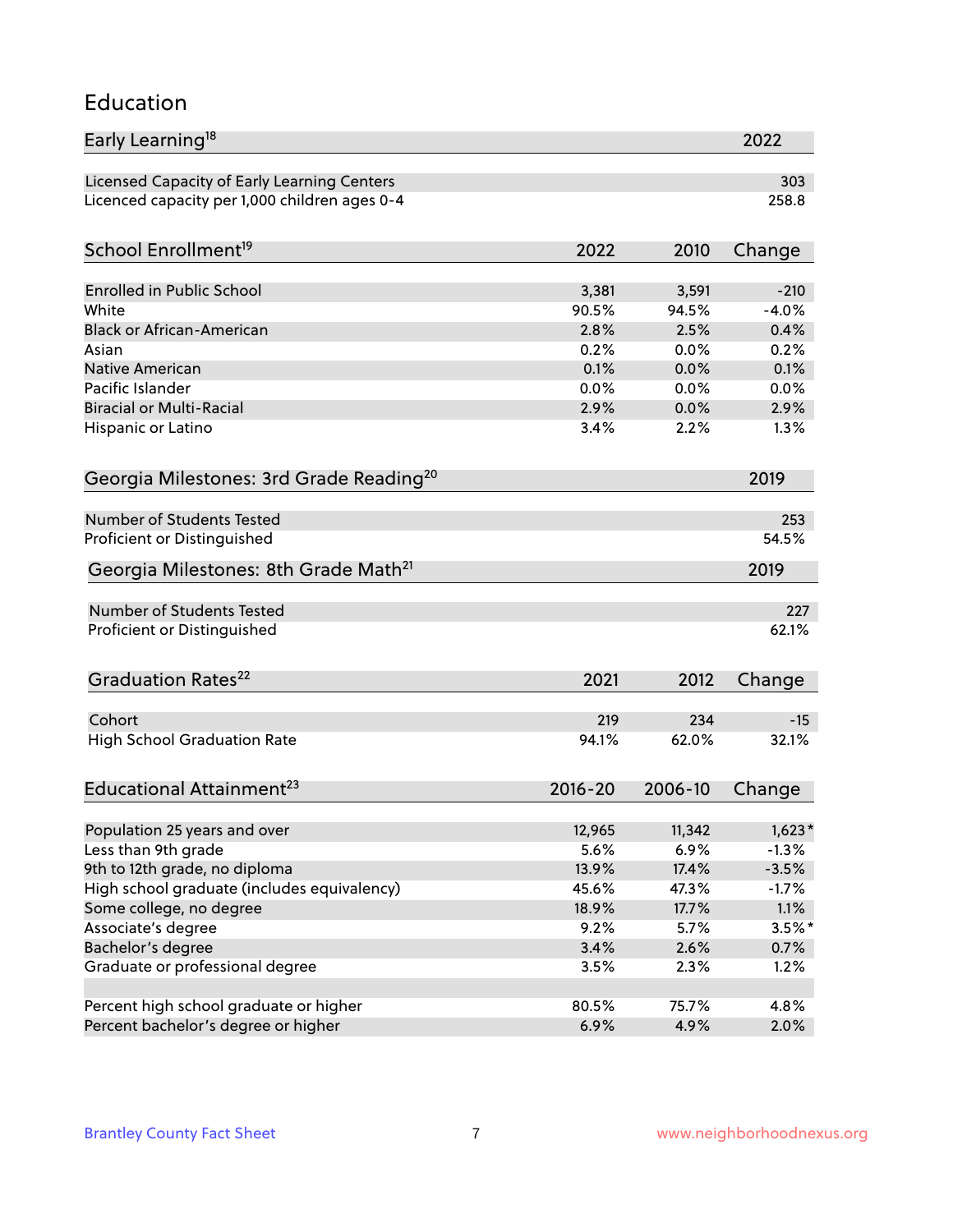#### Education

| Early Learning <sup>18</sup>                        |                |                | 2022              |
|-----------------------------------------------------|----------------|----------------|-------------------|
| Licensed Capacity of Early Learning Centers         |                |                | 303               |
| Licenced capacity per 1,000 children ages 0-4       |                |                | 258.8             |
| School Enrollment <sup>19</sup>                     | 2022           | 2010           | Change            |
|                                                     |                |                |                   |
| <b>Enrolled in Public School</b><br>White           | 3,381<br>90.5% | 3,591<br>94.5% | $-210$<br>$-4.0%$ |
| <b>Black or African-American</b>                    | 2.8%           | 2.5%           | 0.4%              |
| Asian                                               | 0.2%           | 0.0%           | 0.2%              |
| Native American                                     | 0.1%           | 0.0%           | 0.1%              |
| Pacific Islander                                    | 0.0%           | 0.0%           | 0.0%              |
| <b>Biracial or Multi-Racial</b>                     | 2.9%           | 0.0%           | 2.9%              |
| Hispanic or Latino                                  | 3.4%           | 2.2%           | 1.3%              |
| Georgia Milestones: 3rd Grade Reading <sup>20</sup> |                |                | 2019              |
|                                                     |                |                |                   |
| Number of Students Tested                           |                |                | 253               |
| Proficient or Distinguished                         |                |                | 54.5%             |
| Georgia Milestones: 8th Grade Math <sup>21</sup>    |                |                | 2019              |
| <b>Number of Students Tested</b>                    |                |                | 227               |
| Proficient or Distinguished                         |                |                | 62.1%             |
| Graduation Rates <sup>22</sup>                      | 2021           | 2012           |                   |
|                                                     |                |                | Change            |
| Cohort                                              | 219            | 234            | $-15$             |
| <b>High School Graduation Rate</b>                  | 94.1%          | 62.0%          | 32.1%             |
| Educational Attainment <sup>23</sup>                | $2016 - 20$    | 2006-10        | Change            |
|                                                     |                |                |                   |
| Population 25 years and over                        | 12,965         | 11,342         | $1,623*$          |
| Less than 9th grade                                 | 5.6%           | 6.9%           | $-1.3%$           |
| 9th to 12th grade, no diploma                       | 13.9%          | 17.4%          | $-3.5%$           |
| High school graduate (includes equivalency)         | 45.6%          | 47.3%          | $-1.7%$           |
| Some college, no degree                             | 18.9%          | 17.7%          | 1.1%              |
| Associate's degree                                  | 9.2%           | 5.7%           | $3.5%$ *          |
| Bachelor's degree                                   | 3.4%           | 2.6%           | $0.7\%$           |
| Graduate or professional degree                     | 3.5%           | 2.3%           | 1.2%              |
| Percent high school graduate or higher              | 80.5%          | 75.7%          | 4.8%              |
| Percent bachelor's degree or higher                 | 6.9%           | 4.9%           | 2.0%              |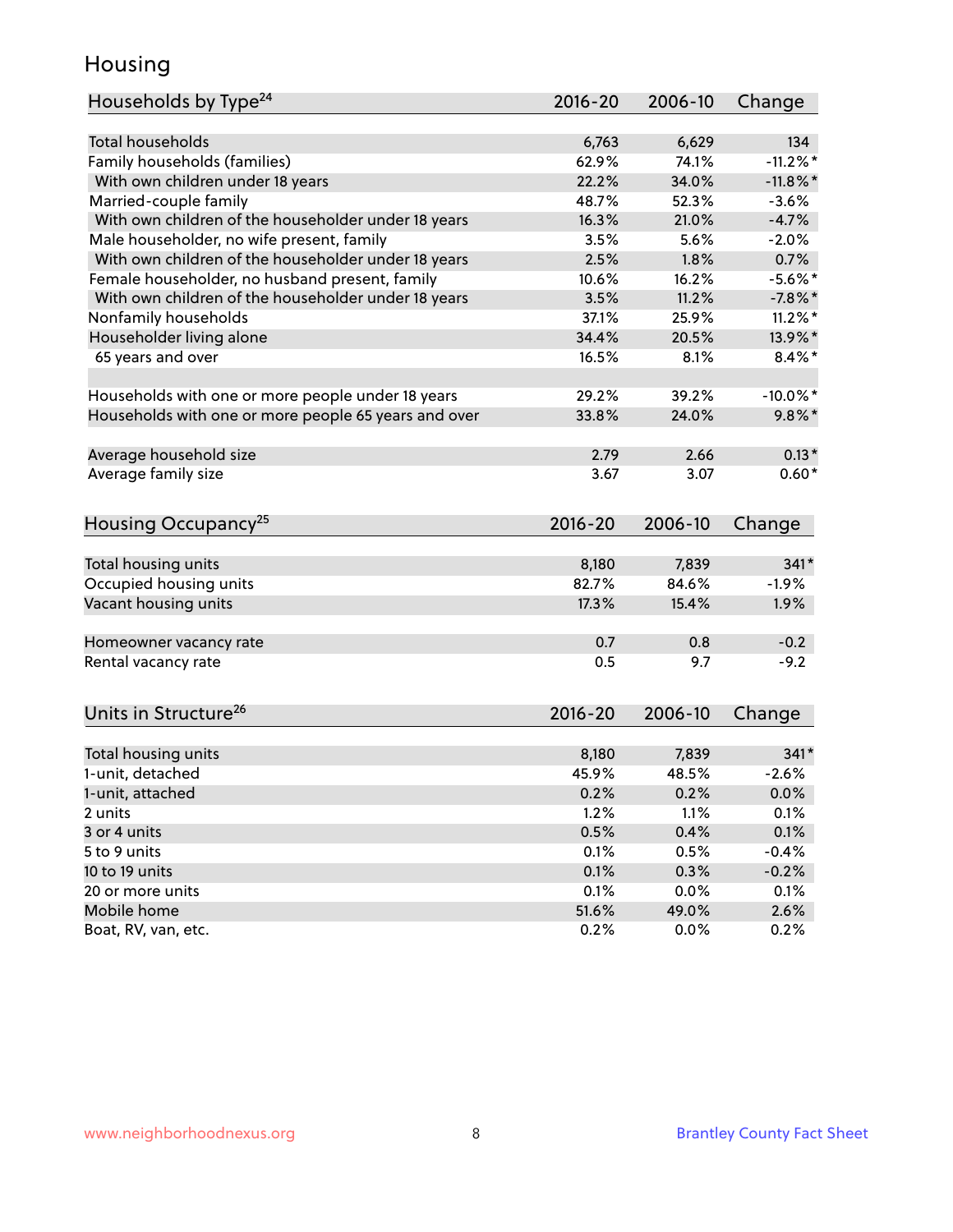#### Housing

| Households by Type <sup>24</sup>                     | 2016-20        | 2006-10        | Change      |
|------------------------------------------------------|----------------|----------------|-------------|
|                                                      |                |                |             |
| <b>Total households</b>                              | 6,763          | 6,629          | 134         |
| Family households (families)                         | 62.9%          | 74.1%          | $-11.2\%$ * |
| With own children under 18 years                     | 22.2%          | 34.0%          | $-11.8\%$ * |
| Married-couple family                                | 48.7%          | 52.3%          | $-3.6%$     |
| With own children of the householder under 18 years  | 16.3%          | 21.0%          | $-4.7%$     |
| Male householder, no wife present, family            | 3.5%           | 5.6%           | $-2.0%$     |
| With own children of the householder under 18 years  | 2.5%           | 1.8%           | 0.7%        |
| Female householder, no husband present, family       | 10.6%          | 16.2%          | $-5.6\%$ *  |
| With own children of the householder under 18 years  | 3.5%           | 11.2%          | $-7.8%$     |
| Nonfamily households                                 | 37.1%          | 25.9%          | $11.2\%$ *  |
| Householder living alone                             | 34.4%          | 20.5%          | 13.9%*      |
| 65 years and over                                    | 16.5%          | 8.1%           | $8.4\%$ *   |
|                                                      |                |                |             |
| Households with one or more people under 18 years    | 29.2%          | 39.2%          | $-10.0\%$ * |
| Households with one or more people 65 years and over | 33.8%          | 24.0%          | $9.8\%$ *   |
| Average household size                               | 2.79           | 2.66           | $0.13*$     |
| Average family size                                  | 3.67           | 3.07           | $0.60*$     |
|                                                      |                |                |             |
| Housing Occupancy <sup>25</sup>                      | $2016 - 20$    | 2006-10        | Change      |
|                                                      |                |                | $341*$      |
| Total housing units                                  | 8,180<br>82.7% | 7,839<br>84.6% | $-1.9%$     |
| Occupied housing units<br>Vacant housing units       | 17.3%          | 15.4%          |             |
|                                                      |                |                | 1.9%        |
| Homeowner vacancy rate                               | 0.7            | 0.8            | $-0.2$      |
| Rental vacancy rate                                  | 0.5            | 9.7            | $-9.2$      |
|                                                      |                |                |             |
| Units in Structure <sup>26</sup>                     | $2016 - 20$    | 2006-10        | Change      |
|                                                      |                |                | $341*$      |
| Total housing units                                  | 8,180          | 7,839          |             |
| 1-unit, detached                                     | 45.9%          | 48.5%          | $-2.6%$     |
| 1-unit, attached                                     | 0.2%           | 0.2%           | 0.0%        |
| 2 units                                              | 1.2%           | 1.1%           | 0.1%        |
| 3 or 4 units                                         | 0.5%           | 0.4%           | 0.1%        |
| 5 to 9 units                                         | 0.1%           | 0.5%           | $-0.4%$     |
| 10 to 19 units                                       | 0.1%           | 0.3%           | $-0.2%$     |
| 20 or more units                                     | 0.1%           | 0.0%           | 0.1%        |
| Mobile home                                          | 51.6%          | 49.0%          | 2.6%        |
| Boat, RV, van, etc.                                  | 0.2%           | 0.0%           | 0.2%        |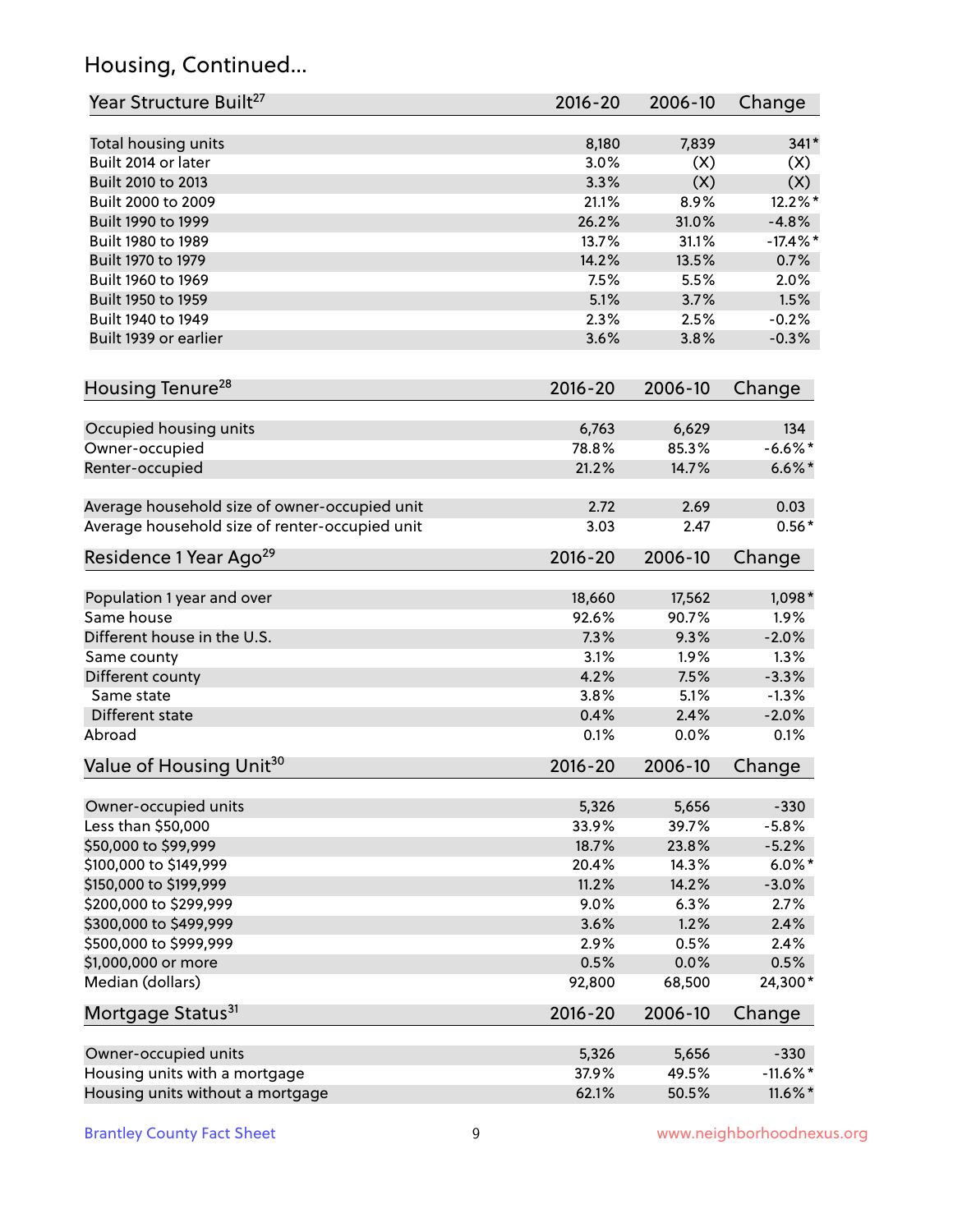# Housing, Continued...

| Year Structure Built <sup>27</sup>             | 2016-20     | 2006-10 | Change      |
|------------------------------------------------|-------------|---------|-------------|
| Total housing units                            | 8,180       | 7,839   | $341*$      |
| Built 2014 or later                            | 3.0%        | (X)     | (X)         |
| Built 2010 to 2013                             | 3.3%        | (X)     | (X)         |
| Built 2000 to 2009                             | 21.1%       | 8.9%    | 12.2%*      |
| Built 1990 to 1999                             | 26.2%       | 31.0%   | $-4.8%$     |
| Built 1980 to 1989                             | 13.7%       | 31.1%   | $-17.4\%$ * |
| Built 1970 to 1979                             | 14.2%       | 13.5%   | 0.7%        |
| Built 1960 to 1969                             | 7.5%        | 5.5%    | 2.0%        |
| Built 1950 to 1959                             | 5.1%        | 3.7%    | 1.5%        |
| Built 1940 to 1949                             | 2.3%        | 2.5%    | $-0.2%$     |
| Built 1939 or earlier                          | 3.6%        | 3.8%    | $-0.3%$     |
| Housing Tenure <sup>28</sup>                   | $2016 - 20$ | 2006-10 | Change      |
|                                                |             |         |             |
| Occupied housing units                         | 6,763       | 6,629   | 134         |
| Owner-occupied                                 | 78.8%       | 85.3%   | $-6.6\%$ *  |
| Renter-occupied                                | 21.2%       | 14.7%   | $6.6\%$ *   |
| Average household size of owner-occupied unit  | 2.72        | 2.69    | 0.03        |
| Average household size of renter-occupied unit | 3.03        | 2.47    | $0.56*$     |
| Residence 1 Year Ago <sup>29</sup>             | $2016 - 20$ | 2006-10 | Change      |
| Population 1 year and over                     | 18,660      | 17,562  | 1,098*      |
| Same house                                     | 92.6%       | 90.7%   | 1.9%        |
| Different house in the U.S.                    | 7.3%        | 9.3%    | $-2.0%$     |
| Same county                                    | 3.1%        | 1.9%    | 1.3%        |
| Different county                               | 4.2%        | 7.5%    | $-3.3%$     |
| Same state                                     | 3.8%        | 5.1%    | $-1.3%$     |
| Different state                                | 0.4%        | 2.4%    | $-2.0%$     |
| Abroad                                         | 0.1%        | 0.0%    | 0.1%        |
| Value of Housing Unit <sup>30</sup>            | $2016 - 20$ | 2006-10 | Change      |
|                                                |             |         |             |
| Owner-occupied units                           | 5,326       | 5,656   | $-330$      |
| Less than \$50,000                             | 33.9%       | 39.7%   | $-5.8%$     |
| \$50,000 to \$99,999                           | 18.7%       | 23.8%   | $-5.2%$     |
| \$100,000 to \$149,999                         | 20.4%       | 14.3%   | $6.0\%$ *   |
| \$150,000 to \$199,999                         | 11.2%       | 14.2%   | $-3.0%$     |
| \$200,000 to \$299,999                         | 9.0%        | 6.3%    | 2.7%        |
| \$300,000 to \$499,999                         | 3.6%        | 1.2%    | 2.4%        |
| \$500,000 to \$999,999                         | 2.9%        | 0.5%    | 2.4%        |
| \$1,000,000 or more                            | 0.5%        | 0.0%    | 0.5%        |
| Median (dollars)                               | 92,800      | 68,500  | 24,300*     |
| Mortgage Status <sup>31</sup>                  | $2016 - 20$ | 2006-10 | Change      |
| Owner-occupied units                           | 5,326       | 5,656   | $-330$      |
| Housing units with a mortgage                  | 37.9%       | 49.5%   | $-11.6\%$ * |
| Housing units without a mortgage               | 62.1%       | 50.5%   | 11.6%*      |
|                                                |             |         |             |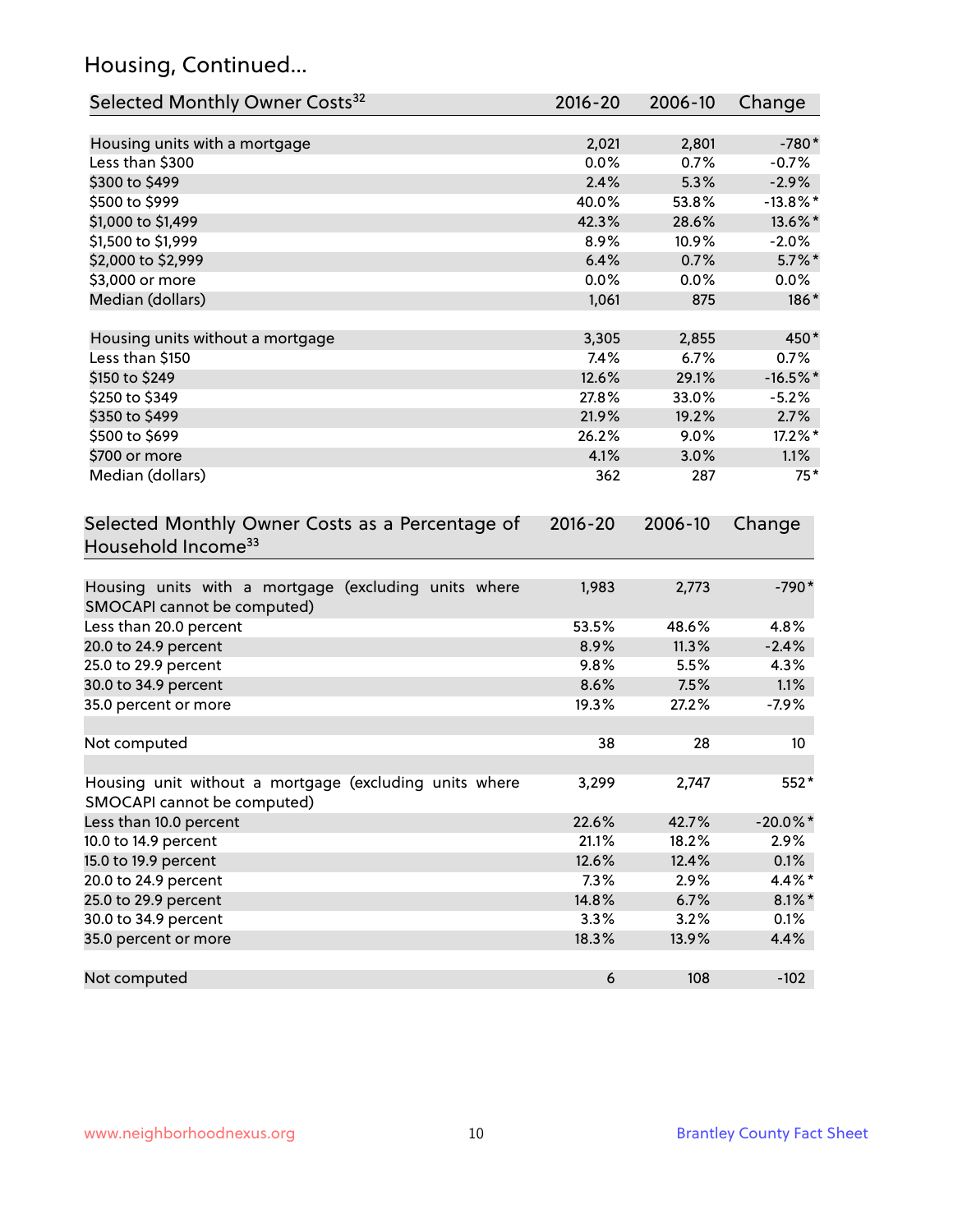# Housing, Continued...

| Selected Monthly Owner Costs <sup>32</sup>                                            | 2016-20          | 2006-10 | Change      |
|---------------------------------------------------------------------------------------|------------------|---------|-------------|
| Housing units with a mortgage                                                         | 2,021            | 2,801   | $-780*$     |
| Less than \$300                                                                       | 0.0%             | 0.7%    | $-0.7%$     |
| \$300 to \$499                                                                        | 2.4%             | 5.3%    | $-2.9%$     |
| \$500 to \$999                                                                        | 40.0%            | 53.8%   | $-13.8\%$ * |
| \$1,000 to \$1,499                                                                    | 42.3%            | 28.6%   | 13.6%*      |
| \$1,500 to \$1,999                                                                    | 8.9%             | 10.9%   | $-2.0%$     |
| \$2,000 to \$2,999                                                                    | 6.4%             | 0.7%    | $5.7\%$ *   |
| \$3,000 or more                                                                       | 0.0%             | 0.0%    | $0.0\%$     |
| Median (dollars)                                                                      | 1,061            | 875     | 186*        |
| Housing units without a mortgage                                                      | 3,305            | 2,855   | 450*        |
| Less than \$150                                                                       | 7.4%             | 6.7%    | 0.7%        |
| \$150 to \$249                                                                        | 12.6%            | 29.1%   | $-16.5%$ *  |
| \$250 to \$349                                                                        | 27.8%            | 33.0%   | $-5.2%$     |
| \$350 to \$499                                                                        | 21.9%            | 19.2%   | 2.7%        |
| \$500 to \$699                                                                        | 26.2%            | 9.0%    | 17.2%*      |
| \$700 or more                                                                         | 4.1%             | 3.0%    | 1.1%        |
| Median (dollars)                                                                      | 362              | 287     | $75*$       |
| Selected Monthly Owner Costs as a Percentage of<br>Household Income <sup>33</sup>     | $2016 - 20$      | 2006-10 | Change      |
| Housing units with a mortgage (excluding units where<br>SMOCAPI cannot be computed)   | 1,983            | 2,773   | $-790*$     |
| Less than 20.0 percent                                                                | 53.5%            | 48.6%   | 4.8%        |
| 20.0 to 24.9 percent                                                                  | 8.9%             | 11.3%   | $-2.4%$     |
| 25.0 to 29.9 percent                                                                  | 9.8%             | 5.5%    | 4.3%        |
| 30.0 to 34.9 percent                                                                  | 8.6%             | 7.5%    | 1.1%        |
| 35.0 percent or more                                                                  | 19.3%            | 27.2%   | $-7.9%$     |
| Not computed                                                                          | 38               | 28      | 10          |
| Housing unit without a mortgage (excluding units where<br>SMOCAPI cannot be computed) | 3,299            | 2,747   | 552*        |
| Less than 10.0 percent                                                                | 22.6%            | 42.7%   | $-20.0\%$ * |
| 10.0 to 14.9 percent                                                                  | 21.1%            | 18.2%   | 2.9%        |
| 15.0 to 19.9 percent                                                                  | 12.6%            | 12.4%   | 0.1%        |
| 20.0 to 24.9 percent                                                                  | 7.3%             | 2.9%    | 4.4%*       |
| 25.0 to 29.9 percent                                                                  | 14.8%            | 6.7%    | $8.1\%$ *   |
| 30.0 to 34.9 percent                                                                  | 3.3%             | 3.2%    | 0.1%        |
| 35.0 percent or more                                                                  | 18.3%            | 13.9%   | 4.4%        |
| Not computed                                                                          | $\boldsymbol{6}$ | 108     | $-102$      |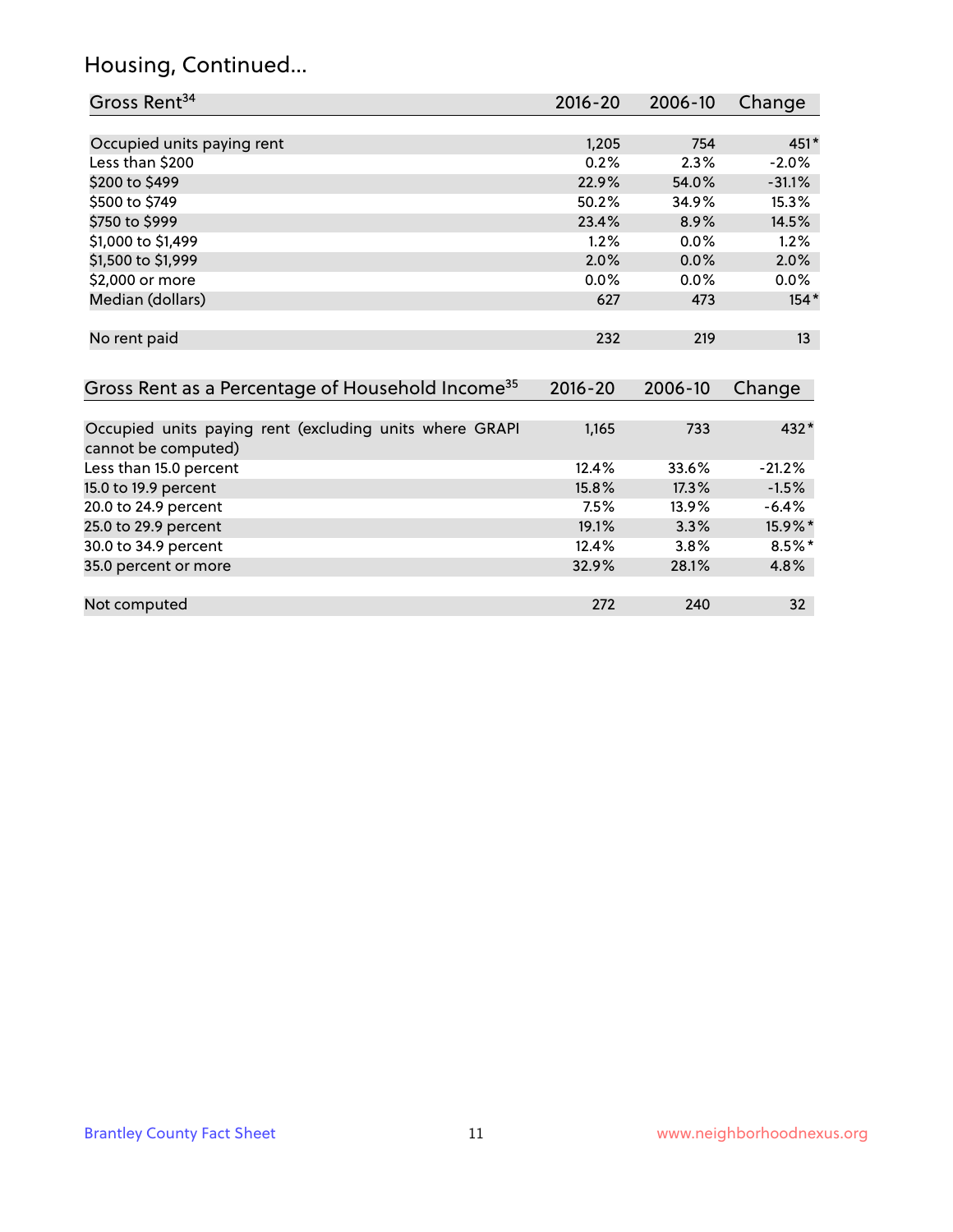# Housing, Continued...

| Gross Rent <sup>34</sup>                                                       | 2016-20     | 2006-10 | Change    |
|--------------------------------------------------------------------------------|-------------|---------|-----------|
|                                                                                |             |         |           |
| Occupied units paying rent                                                     | 1,205       | 754     | $451*$    |
| Less than \$200                                                                | 0.2%        | 2.3%    | $-2.0%$   |
| \$200 to \$499                                                                 | 22.9%       | 54.0%   | $-31.1%$  |
| \$500 to \$749                                                                 | 50.2%       | 34.9%   | 15.3%     |
| \$750 to \$999                                                                 | 23.4%       | 8.9%    | 14.5%     |
| \$1,000 to \$1,499                                                             | 1.2%        | 0.0%    | 1.2%      |
| \$1,500 to \$1,999                                                             | 2.0%        | 0.0%    | 2.0%      |
| \$2,000 or more                                                                | 0.0%        | 0.0%    | $0.0\%$   |
| Median (dollars)                                                               | 627         | 473     | $154*$    |
| No rent paid                                                                   | 232         | 219     | 13        |
| Gross Rent as a Percentage of Household Income <sup>35</sup>                   | $2016 - 20$ | 2006-10 | Change    |
| Occupied units paying rent (excluding units where GRAPI<br>cannot be computed) | 1,165       | 733     | 432*      |
| Less than 15.0 percent                                                         | 12.4%       | 33.6%   | $-21.2%$  |
| 15.0 to 19.9 percent                                                           | 15.8%       | 17.3%   | $-1.5%$   |
| 20.0 to 24.9 percent                                                           | 7.5%        | 13.9%   | $-6.4%$   |
| 25.0 to 29.9 percent                                                           | 19.1%       | 3.3%    | 15.9%*    |
| 30.0 to 34.9 percent                                                           | 12.4%       | 3.8%    | $8.5\%$ * |
| 35.0 percent or more                                                           | 32.9%       | 28.1%   | 4.8%      |
| Not computed                                                                   | 272         | 240     | 32        |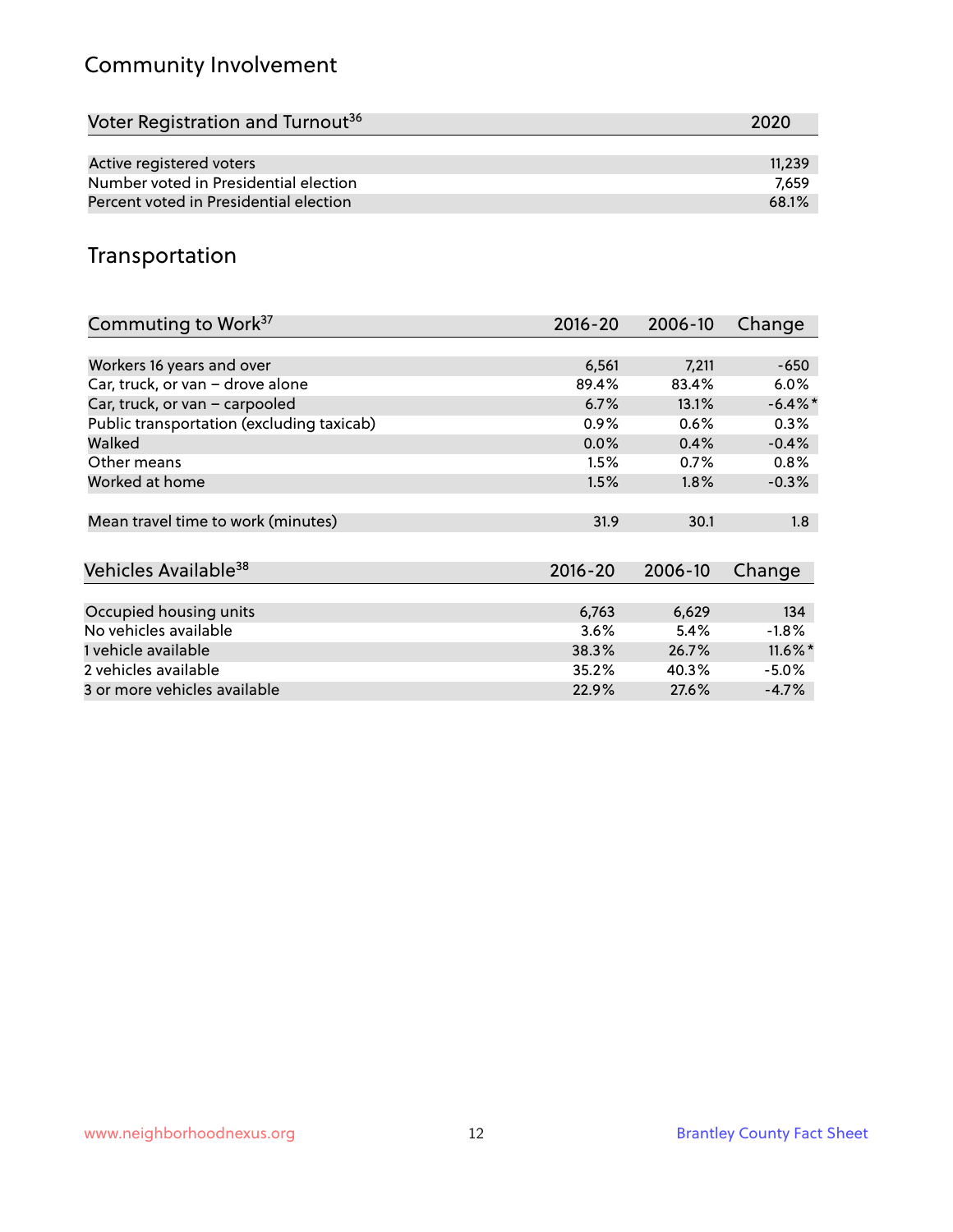# Community Involvement

| Voter Registration and Turnout <sup>36</sup> | 2020   |
|----------------------------------------------|--------|
|                                              |        |
| Active registered voters                     | 11,239 |
| Number voted in Presidential election        | 7.659  |
| Percent voted in Presidential election       | 68.1%  |

#### Transportation

| Commuting to Work <sup>37</sup>           | 2016-20     | 2006-10 | Change     |
|-------------------------------------------|-------------|---------|------------|
|                                           |             |         |            |
| Workers 16 years and over                 | 6,561       | 7,211   | $-650$     |
| Car, truck, or van - drove alone          | 89.4%       | 83.4%   | 6.0%       |
| Car, truck, or van - carpooled            | 6.7%        | 13.1%   | $-6.4\%$ * |
| Public transportation (excluding taxicab) | 0.9%        | 0.6%    | 0.3%       |
| Walked                                    | 0.0%        | 0.4%    | $-0.4%$    |
| Other means                               | 1.5%        | 0.7%    | 0.8%       |
| Worked at home                            | 1.5%        | $1.8\%$ | $-0.3%$    |
|                                           |             |         |            |
| Mean travel time to work (minutes)        | 31.9        | 30.1    | 1.8        |
|                                           |             |         |            |
| Vehicles Available <sup>38</sup>          | $2016 - 20$ | 2006-10 | Change     |
|                                           |             |         |            |
| Occupied housing units                    | 6,763       | 6,629   | 134        |
| No vehicles available                     | 3.6%        | 5.4%    | $-1.8%$    |
| 1 vehicle available                       | 38.3%       | 26.7%   | $11.6\%$ * |
| 2 vehicles available                      | 35.2%       | 40.3%   | $-5.0\%$   |
| 3 or more vehicles available              | 22.9%       | 27.6%   | $-4.7%$    |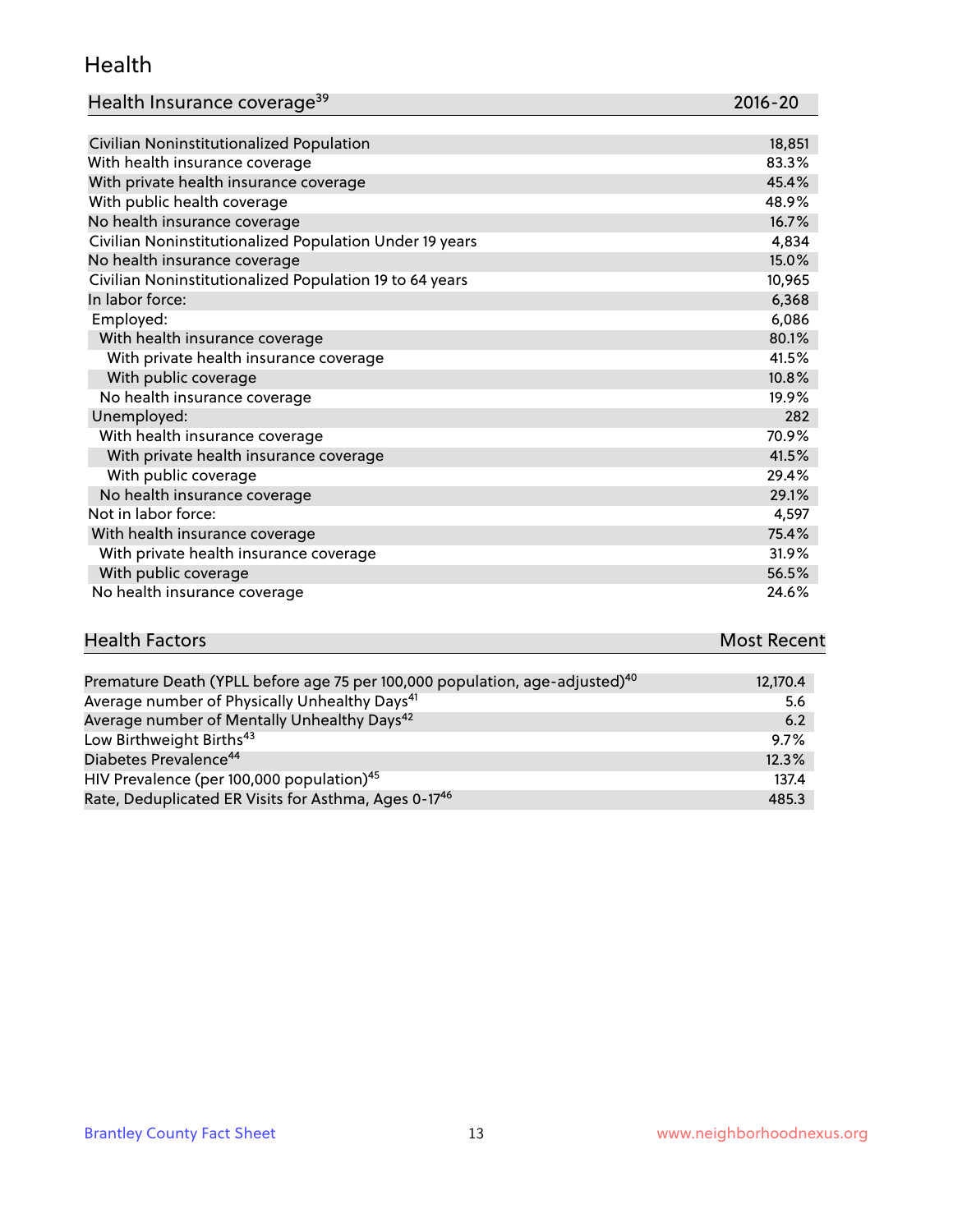#### Health

| Health Insurance coverage <sup>39</sup> | 2016-20 |
|-----------------------------------------|---------|
|-----------------------------------------|---------|

| Civilian Noninstitutionalized Population                | 18,851 |
|---------------------------------------------------------|--------|
| With health insurance coverage                          | 83.3%  |
| With private health insurance coverage                  | 45.4%  |
| With public health coverage                             | 48.9%  |
| No health insurance coverage                            | 16.7%  |
| Civilian Noninstitutionalized Population Under 19 years | 4,834  |
| No health insurance coverage                            | 15.0%  |
| Civilian Noninstitutionalized Population 19 to 64 years | 10,965 |
| In labor force:                                         | 6,368  |
| Employed:                                               | 6,086  |
| With health insurance coverage                          | 80.1%  |
| With private health insurance coverage                  | 41.5%  |
| With public coverage                                    | 10.8%  |
| No health insurance coverage                            | 19.9%  |
| Unemployed:                                             | 282    |
| With health insurance coverage                          | 70.9%  |
| With private health insurance coverage                  | 41.5%  |
| With public coverage                                    | 29.4%  |
| No health insurance coverage                            | 29.1%  |
| Not in labor force:                                     | 4,597  |
| With health insurance coverage                          | 75.4%  |
| With private health insurance coverage                  | 31.9%  |
| With public coverage                                    | 56.5%  |
| No health insurance coverage                            | 24.6%  |

# **Health Factors Most Recent** And The Control of the Control of The Control of The Control of The Control of The Control of The Control of The Control of The Control of The Control of The Control of The Control of The Contr

| Premature Death (YPLL before age 75 per 100,000 population, age-adjusted) <sup>40</sup> | 12,170.4 |
|-----------------------------------------------------------------------------------------|----------|
| Average number of Physically Unhealthy Days <sup>41</sup>                               | 5.6      |
| Average number of Mentally Unhealthy Days <sup>42</sup>                                 | 6.2      |
| Low Birthweight Births <sup>43</sup>                                                    | $9.7\%$  |
| Diabetes Prevalence <sup>44</sup>                                                       | 12.3%    |
| HIV Prevalence (per 100,000 population) <sup>45</sup>                                   | 137.4    |
| Rate, Deduplicated ER Visits for Asthma, Ages 0-17 <sup>46</sup>                        | 485.3    |